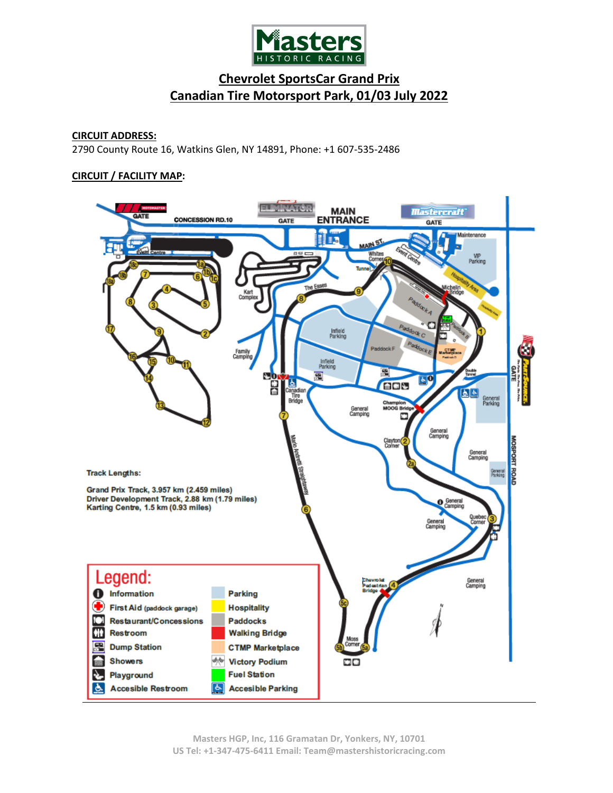

# **CIRCUIT ADDRESS:**

2790 County Route 16, Watkins Glen, NY 14891, Phone: +1 607-535-2486

### **CIRCUIT / FACILITY MAP:**

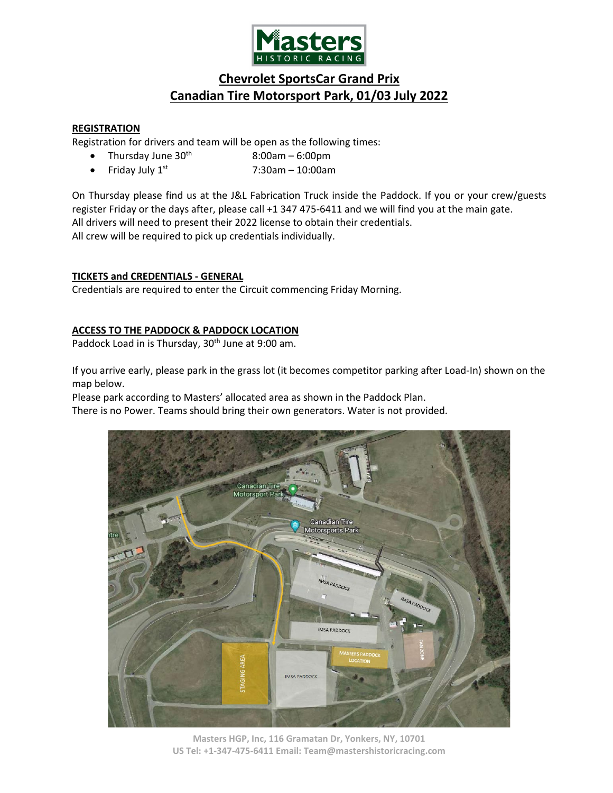

# **REGISTRATION**

Registration for drivers and team will be open as the following times:

- Thursday June  $30<sup>th</sup>$  8:00am 6:00pm
- Friday July  $1^{st}$  7:30am 10:00am

On Thursday please find us at the J&L Fabrication Truck inside the Paddock. If you or your crew/guests register Friday or the days after, please call +1 347 475-6411 and we will find you at the main gate. All drivers will need to present their 2022 license to obtain their credentials. All crew will be required to pick up credentials individually.

# **TICKETS and CREDENTIALS - GENERAL**

Credentials are required to enter the Circuit commencing Friday Morning.

# **ACCESS TO THE PADDOCK & PADDOCK LOCATION**

Paddock Load in is Thursday, 30<sup>th</sup> June at 9:00 am.

If you arrive early, please park in the grass lot (it becomes competitor parking after Load-In) shown on the map below.

Please park according to Masters' allocated area as shown in the Paddock Plan.

There is no Power. Teams should bring their own generators. Water is not provided.



**Masters HGP, Inc, 116 Gramatan Dr, Yonkers, NY, 10701 US Tel: +1-347-475-6411 Email: Team@mastershistoricracing.com**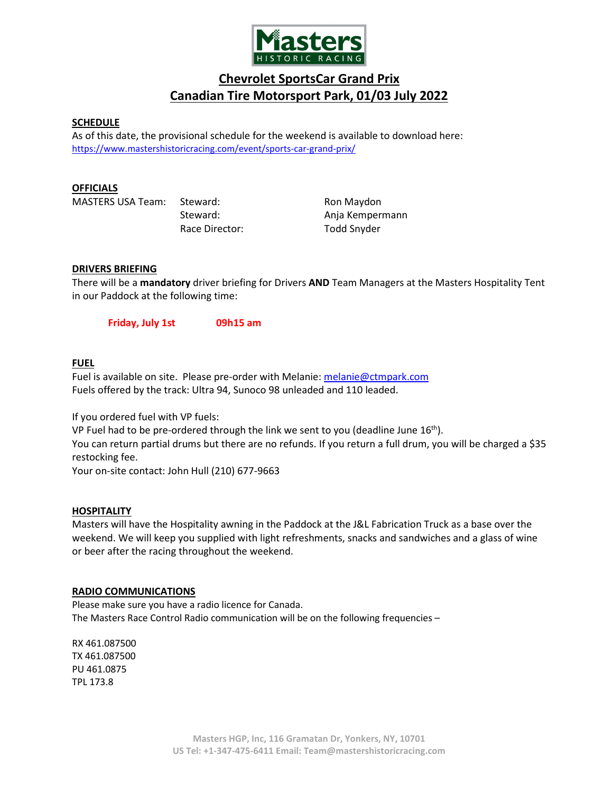

### **SCHEDULE**

As of this date, the provisional schedule for the weekend is available to download here: <https://www.mastershistoricracing.com/event/sports-car-grand-prix/>

#### **OFFICIALS**

MASTERS USA Team: Steward: Ron Maydon

Race Director: Todd Snyder

Steward: and anja Kempermann

### **DRIVERS BRIEFING**

There will be a **mandatory** driver briefing for Drivers **AND** Team Managers at the Masters Hospitality Tent in our Paddock at the following time:

**Friday, July 1st 09h15 am**

# **FUEL**

Fuel is available on site. Please pre-order with Melanie[: melanie@ctmpark.com](mailto:melanie@ctmpark.com) Fuels offered by the track: Ultra 94, Sunoco 98 unleaded and 110 leaded.

If you ordered fuel with VP fuels:

VP Fuel had to be pre-ordered through the link we sent to you (deadline June  $16<sup>th</sup>$ ). You can return partial drums but there are no refunds. If you return a full drum, you will be charged a \$35 restocking fee.

Your on-site contact: John Hull (210) 677-9663

### **HOSPITALITY**

Masters will have the Hospitality awning in the Paddock at the J&L Fabrication Truck as a base over the weekend. We will keep you supplied with light refreshments, snacks and sandwiches and a glass of wine or beer after the racing throughout the weekend.

#### **RADIO COMMUNICATIONS**

Please make sure you have a radio licence for Canada. The Masters Race Control Radio communication will be on the following frequencies –

RX 461.087500 TX 461.087500 PU 461.0875 TPL 173.8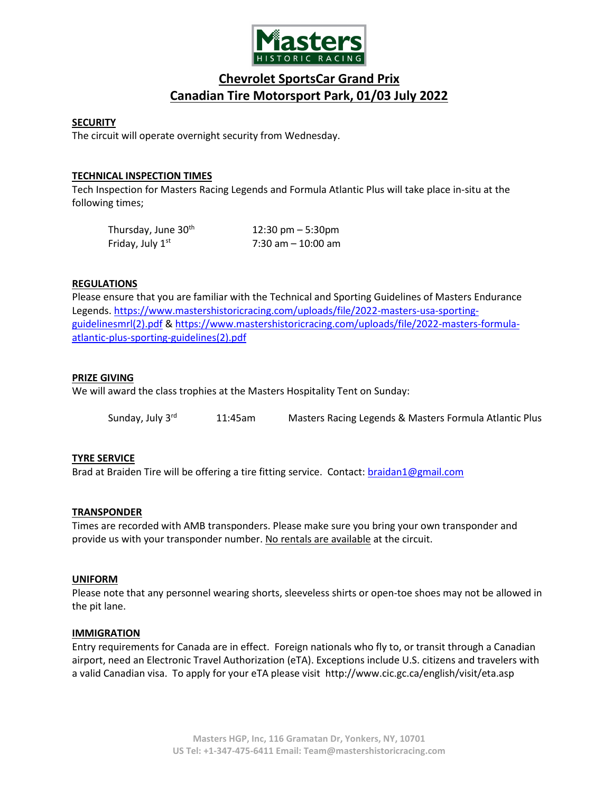

### **SECURITY**

The circuit will operate overnight security from Wednesday.

# **TECHNICAL INSPECTION TIMES**

Tech Inspection for Masters Racing Legends and Formula Atlantic Plus will take place in-situ at the following times;

| Thursday, June 30 <sup>th</sup> | 12:30 pm $-5:30$ pm   |
|---------------------------------|-----------------------|
| Friday, July 1st                | $7:30$ am $-10:00$ am |

# **REGULATIONS**

Please ensure that you are familiar with the Technical and Sporting Guidelines of Masters Endurance Legends. [https://www.mastershistoricracing.com/uploads/file/2022-masters-usa-sporting](https://www.mastershistoricracing.com/uploads/file/2022-masters-usa-sporting-guidelinesmrl(2).pdf)[guidelinesmrl\(2\).pdf](https://www.mastershistoricracing.com/uploads/file/2022-masters-usa-sporting-guidelinesmrl(2).pdf) & [https://www.mastershistoricracing.com/uploads/file/2022-masters-formula](https://www.mastershistoricracing.com/uploads/file/2022-masters-formula-atlantic-plus-sporting-guidelines(2).pdf)[atlantic-plus-sporting-guidelines\(2\).pdf](https://www.mastershistoricracing.com/uploads/file/2022-masters-formula-atlantic-plus-sporting-guidelines(2).pdf)

# **PRIZE GIVING**

We will award the class trophies at the Masters Hospitality Tent on Sunday:

Sunday, July 3<sup>rd</sup> 11:45am Masters Racing Legends & Masters Formula Atlantic Plus

### **TYRE SERVICE**

Brad at Braiden Tire will be offering a tire fitting service. Contact: [braidan1@gmail.com](mailto:braidan1@gmail.com)

### **TRANSPONDER**

Times are recorded with AMB transponders. Please make sure you bring your own transponder and provide us with your transponder number. No rentals are available at the circuit.

### **UNIFORM**

Please note that any personnel wearing shorts, sleeveless shirts or open-toe shoes may not be allowed in the pit lane.

#### **IMMIGRATION**

Entry requirements for Canada are in effect. Foreign nationals who fly to, or transit through a Canadian airport, need an Electronic Travel Authorization (eTA). Exceptions include U.S. citizens and travelers with a valid Canadian visa. To apply for your eTA please visit <http://www.cic.gc.ca/english/visit/eta.asp>